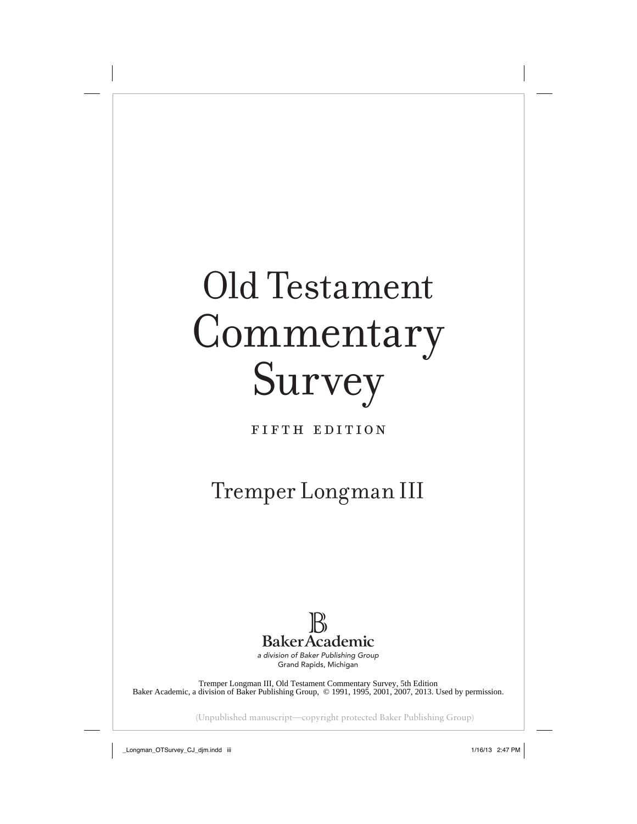# Old Testament Commentary Survey

Fifth Edition

Tremper Longman III



Tremper Longman III, Old Testament Commentary Survey, 5th Edition Baker Academic, a division of Baker Publishing Group, © 1991, 1995, 2001, 2007, 2013. Used by permission.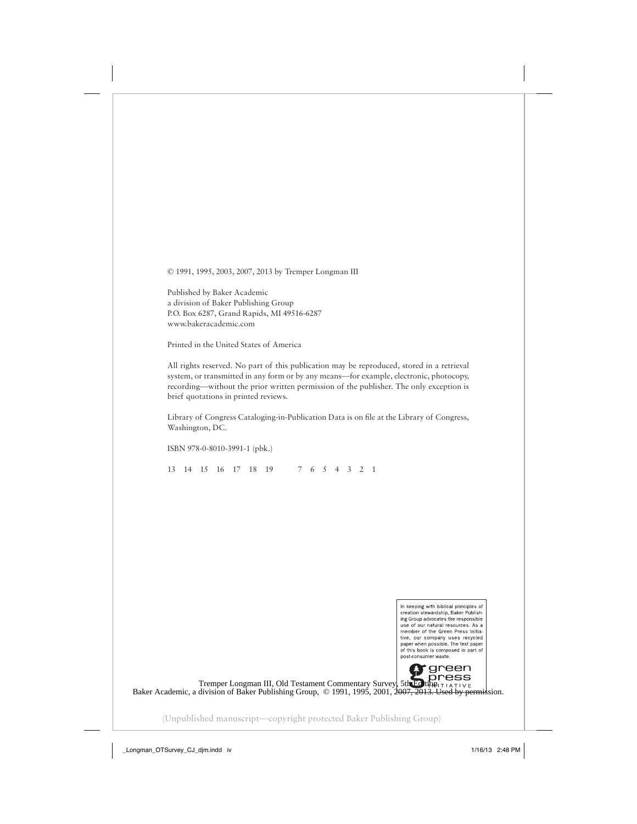© 1991, 1995, 2003, 2007, 2013 by Tremper Longman III

Published by Baker Academic a division of Baker Publishing Group P.O. Box 6287, Grand Rapids, MI 49516-6287 www.bakeracademic.com

Printed in the United States of America

All rights reserved. No part of this publication may be reproduced, stored in a retrieval system, or transmitted in any form or by any means—for example, electronic, photocopy, recording—without the prior written permission of the publisher. The only exception is brief quotations in printed reviews.

Library of Congress Cataloging-in-Publication Data is on file at the Library of Congress, Washington, DC.

ISBN 978-0-8010-3991-1 (pbk.)

13 14 15 16 17 18 19 7 6 5 4 3 2 1



green

Tremper Longman III, Old Testament Commentary Survey, 5th Edition Baker Academic, a division of Baker Publishing Group, © 1991, 1995, 2001, 2007<del>, 2013. Used by permis</del>sion.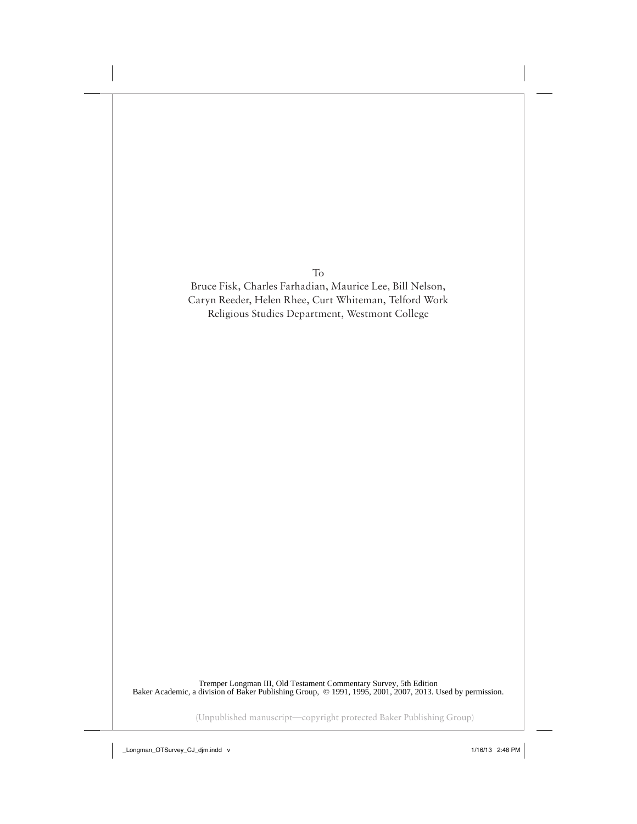Bruce Fisk, Charles Farhadian, Maurice Lee, Bill Nelson, Caryn Reeder, Helen Rhee, Curt Whiteman, Telford Work Religious Studies Department, Westmont College

To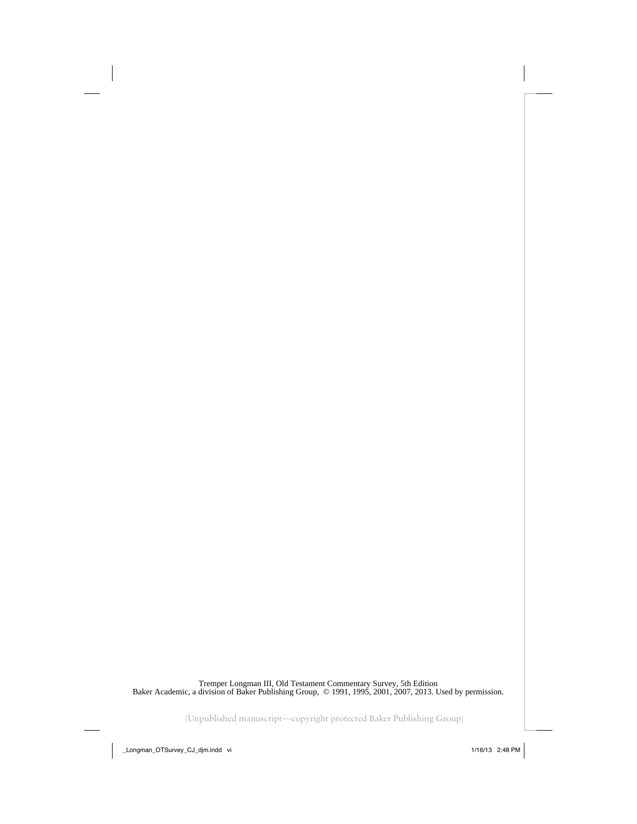Tremper Longman III, Old Testament Commentary Survey, 5th Edition Baker Academic, a division of Baker Publishing Group, © 1991, 1995, 2001, 2007, 2013. Used by permission.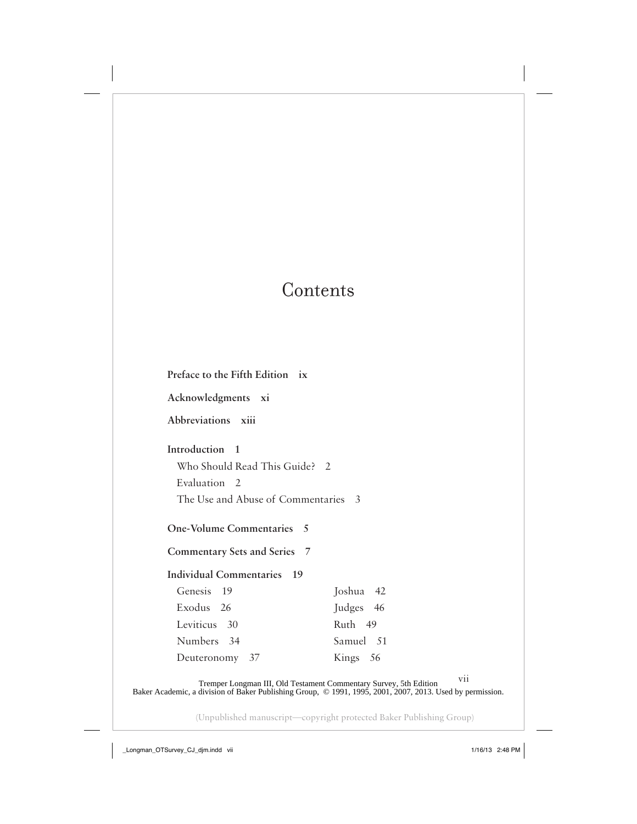# Contents

|  |  |  |  | Preface to the Fifth Edition ix |  |
|--|--|--|--|---------------------------------|--|
|--|--|--|--|---------------------------------|--|

**Acknowledgments xi**

**Abbreviations xiii**

**Introduction 1** Who Should Read This Guide? 2 Evaluation 2

The Use and Abuse of Commentaries 3

**One-Volume Commentaries 5**

**Commentary Sets and Series 7**

#### **Individual Commentaries 19**

| Genesis 19     | Joshua 42 |
|----------------|-----------|
| Exodus 26      | Judges 46 |
| Leviticus 30   | Ruth 49   |
| Numbers 34     | Samuel 51 |
| Deuteronomy 37 | Kings 56  |

vii Tremper Longman III, Old Testament Commentary Survey, 5th Edition Baker Academic, a division of Baker Publishing Group, © 1991, 1995, 2001, 2007, 2013. Used by permission.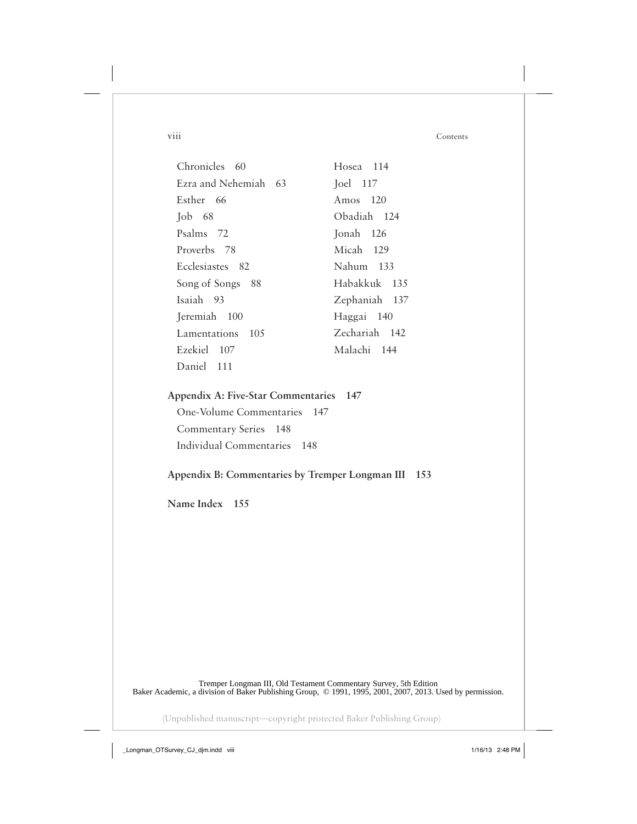| Chronicles 60        | Hosea 114     |
|----------------------|---------------|
| Ezra and Nehemiah 63 | Joel $117$    |
| Esther 66            | Amos $120$    |
| Job 68               | Obadiah 124   |
| Psalms 72            | Jonah 126     |
| Proverbs 78          | Micah 129     |
| Ecclesiastes 82      | Nahum 133     |
| Song of Songs 88     | Habakkuk 135  |
| Isaiah 93            | Zephaniah 137 |
| Jeremiah 100         | Haggai 140    |
| Lamentations 105     | Zechariah 142 |
| Ezekiel 107          | Malachi 144   |
| Daniel 111           |               |

#### **Appendix A: Five-Star Commentaries 147**

One-Volume Commentaries 147 Commentary Series 148 Individual Commentaries 148

#### **Appendix B: Commentaries by Tremper Longman III 153**

**Name Index 155**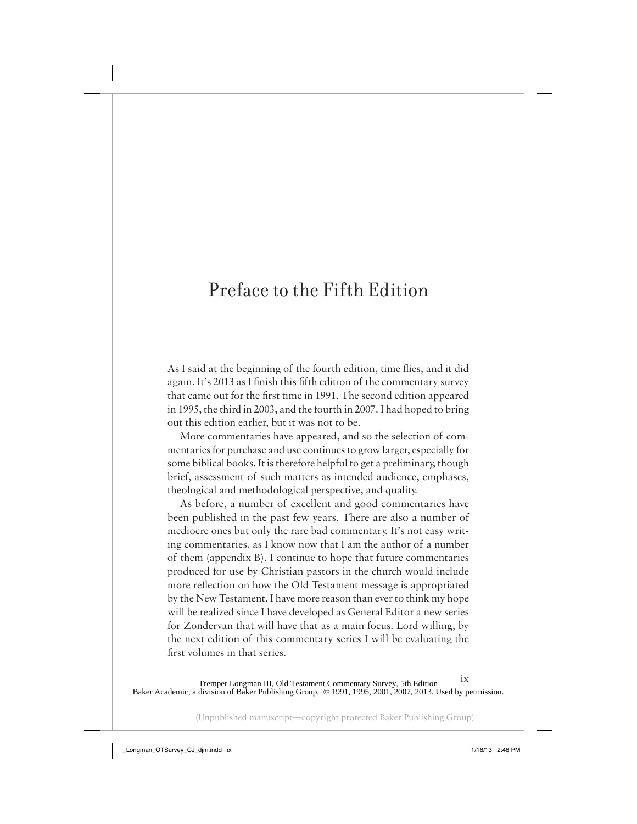# Preface to the Fifth Edition

As I said at the beginning of the fourth edition, time flies, and it did again. It's 2013 as I finish this fifth edition of the commentary survey that came out for the first time in 1991. The second edition appeared in 1995, the third in 2003, and the fourth in 2007. I had hoped to bring out this edition earlier, but it was not to be.

More commentaries have appeared, and so the selection of commentaries for purchase and use continues to grow larger, especially for some biblical books. It is therefore helpful to get a preliminary, though brief, assessment of such matters as intended audience, emphases, theological and methodological perspective, and quality.

As before, a number of excellent and good commentaries have been published in the past few years. There are also a number of mediocre ones but only the rare bad commentary. It's not easy writing commentaries, as I know now that I am the author of a number of them (appendix B). I continue to hope that future commentaries produced for use by Christian pastors in the church would include more reflection on how the Old Testament message is appropriated by the New Testament. I have more reason than ever to think my hope will be realized since I have developed as General Editor a new series for Zondervan that will have that as a main focus. Lord willing, by the next edition of this commentary series I will be evaluating the first volumes in that series.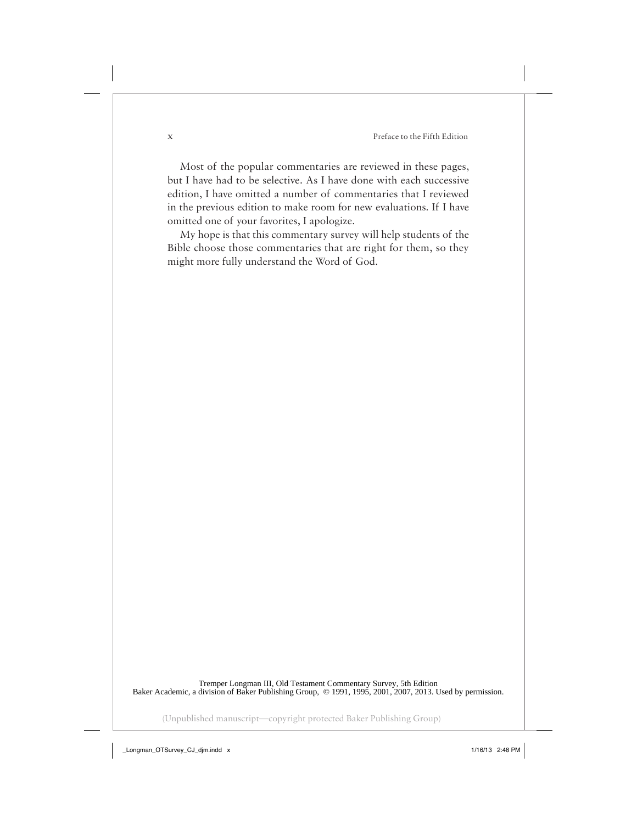Most of the popular commentaries are reviewed in these pages, but I have had to be selective. As I have done with each successive edition, I have omitted a number of commentaries that I reviewed in the previous edition to make room for new evaluations. If I have omitted one of your favorites, I apologize.

My hope is that this commentary survey will help students of the Bible choose those commentaries that are right for them, so they might more fully understand the Word of God.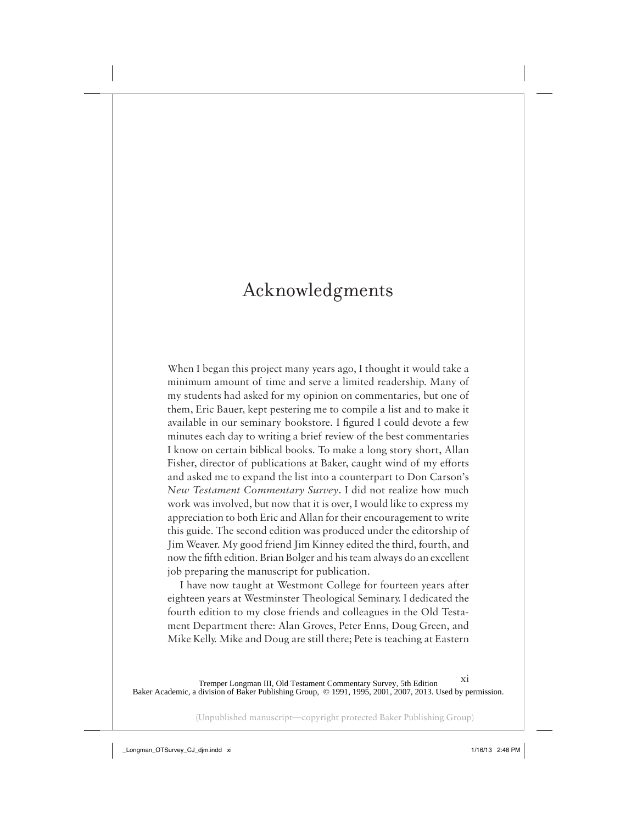# Acknowledgments

When I began this project many years ago, I thought it would take a minimum amount of time and serve a limited readership. Many of my students had asked for my opinion on commentaries, but one of them, Eric Bauer, kept pestering me to compile a list and to make it available in our seminary bookstore. I figured I could devote a few minutes each day to writing a brief review of the best commentaries I know on certain biblical books. To make a long story short, Allan Fisher, director of publications at Baker, caught wind of my efforts and asked me to expand the list into a counterpart to Don Carson's *New Testament Commentary Survey*. I did not realize how much work was involved, but now that it is over, I would like to express my appreciation to both Eric and Allan for their encouragement to write this guide. The second edition was produced under the editorship of Jim Weaver. My good friend Jim Kinney edited the third, fourth, and now the fifth edition. Brian Bolger and his team always do an excellent job preparing the manuscript for publication.

I have now taught at Westmont College for fourteen years after eighteen years at Westminster Theological Seminary. I dedicated the fourth edition to my close friends and colleagues in the Old Testament Department there: Alan Groves, Peter Enns, Doug Green, and Mike Kelly. Mike and Doug are still there; Pete is teaching at Eastern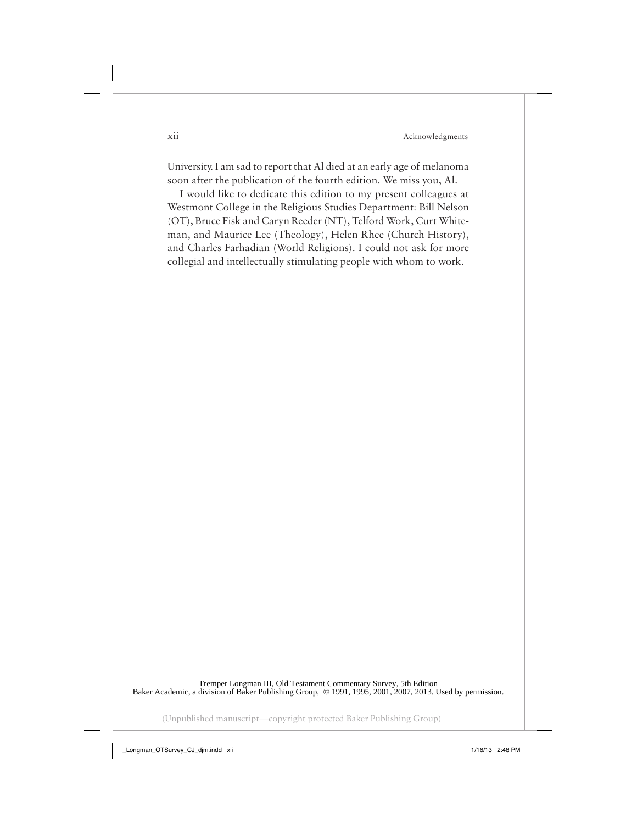University. I am sad to report that Al died at an early age of melanoma soon after the publication of the fourth edition. We miss you, Al.

I would like to dedicate this edition to my present colleagues at Westmont College in the Religious Studies Department: Bill Nelson (OT), Bruce Fisk and Caryn Reeder (NT), Telford Work, Curt Whiteman, and Maurice Lee (Theology), Helen Rhee (Church History), and Charles Farhadian (World Religions). I could not ask for more collegial and intellectually stimulating people with whom to work.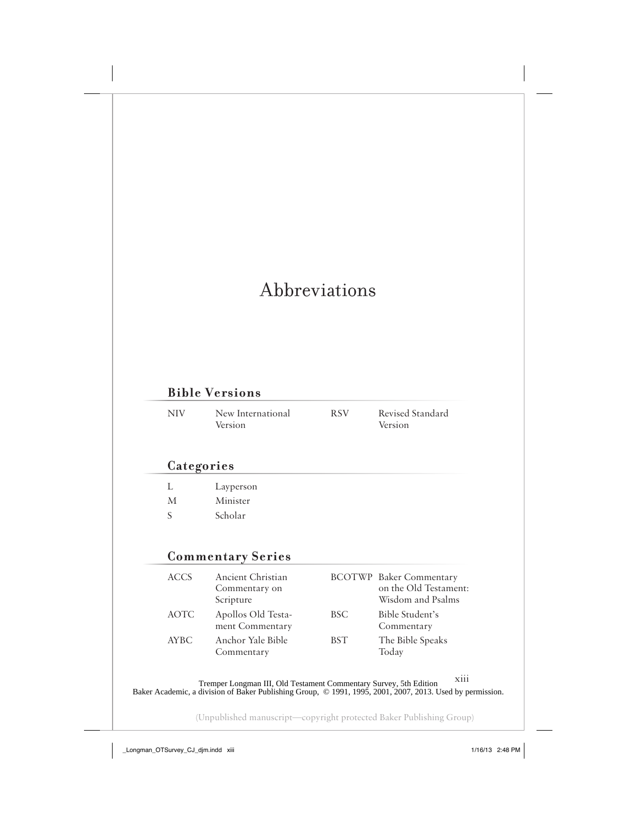# Abbreviations

# **Bible Versions**

| <b>NIV</b> | New International | <b>RSV</b> | Revised Standard |
|------------|-------------------|------------|------------------|
|            | Version           |            | Version          |

# **Categories**

| L  | Layperson |
|----|-----------|
| M  | Minister  |
| -S | Scholar   |

# **Commentary Series**

| ACCS | Ancient Christian<br>Commentary on<br>Scripture |            | <b>BCOTWP</b> Baker Commentary<br>on the Old Testament:<br>Wisdom and Psalms |
|------|-------------------------------------------------|------------|------------------------------------------------------------------------------|
| AOTC | Apollos Old Testa-<br>ment Commentary           | <b>BSC</b> | Bible Student's<br>Commentary                                                |
| AYBC | Anchor Yale Bible<br>Commentary                 | <b>BST</b> | The Bible Speaks<br>Today                                                    |

xiii Tremper Longman III, Old Testament Commentary Survey, 5th Edition Baker Academic, a division of Baker Publishing Group, © 1991, 1995, 2001, 2007, 2013. Used by permission.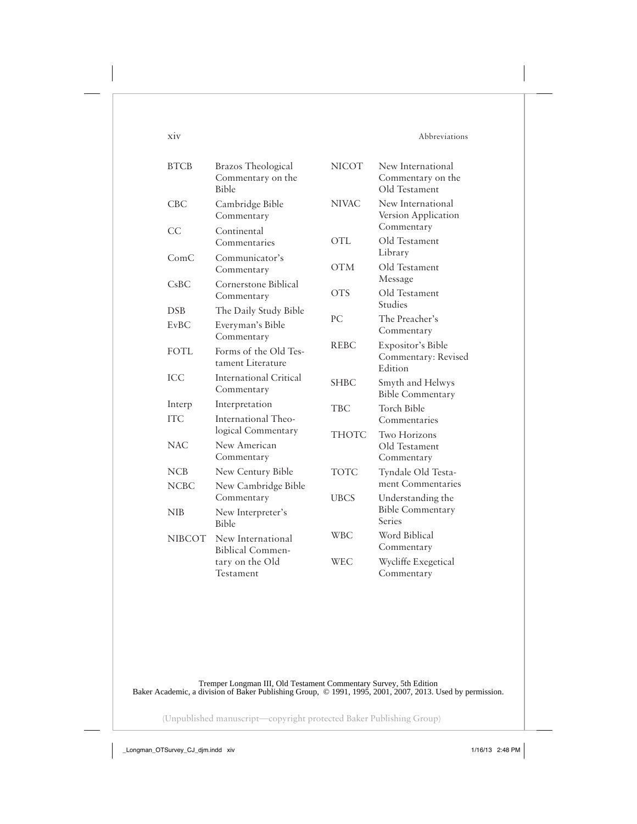| <b>BTCB</b>   | <b>Brazos Theological</b><br>Commentary on the<br><b>Bible</b> | <b>NICOT</b> | New International<br>Commentary on the<br>Old Testament |
|---------------|----------------------------------------------------------------|--------------|---------------------------------------------------------|
| CBC           | Cambridge Bible<br>Commentary                                  | <b>NIVAC</b> | New International<br>Version Application<br>Commentary  |
| <b>CC</b>     | Continental<br>Commentaries                                    | OTI.         | Old Testament                                           |
| ComC          | Communicator's<br>Commentary                                   | OTM          | Library<br>Old Testament                                |
| CsBC          | Cornerstone Biblical<br>Commentary                             | <b>OTS</b>   | Message<br>Old Testament                                |
| <b>DSB</b>    | The Daily Study Bible                                          | PC.          | Studies<br>The Preacher's                               |
| EvBC          | Everyman's Bible<br>Commentary                                 |              | Commentary                                              |
| <b>FOTL</b>   | Forms of the Old Tes-<br>tament Literature                     | <b>REBC</b>  | Expositor's Bible<br>Commentary: Revised<br>Edition     |
| ICC           | International Critical<br>Commentary                           | <b>SHBC</b>  | Smyth and Helwys<br><b>Bible Commentary</b>             |
| Interp        | Interpretation                                                 | <b>TBC</b>   | Torch Bible                                             |
| <b>ITC</b>    | International Theo-<br>logical Commentary                      |              | Commentaries                                            |
| NAC           | New American<br>Commentary                                     | <b>THOTC</b> | Two Horizons<br>Old Testament<br>Commentary             |
| <b>NCB</b>    | New Century Bible                                              | <b>TOTC</b>  | Tyndale Old Testa-                                      |
| <b>NCBC</b>   | New Cambridge Bible                                            |              | ment Commentaries                                       |
| NIB           | Commentary<br>New Interpreter's<br><b>Bible</b>                | <b>UBCS</b>  | Understanding the<br><b>Bible Commentary</b><br>Series  |
| <b>NIBCOT</b> | New International<br><b>Biblical Commen-</b>                   | <b>WBC</b>   | Word Biblical<br>Commentary                             |
|               | tary on the Old<br>Testament                                   | <b>WEC</b>   | Wycliffe Exegetical<br>Commentary                       |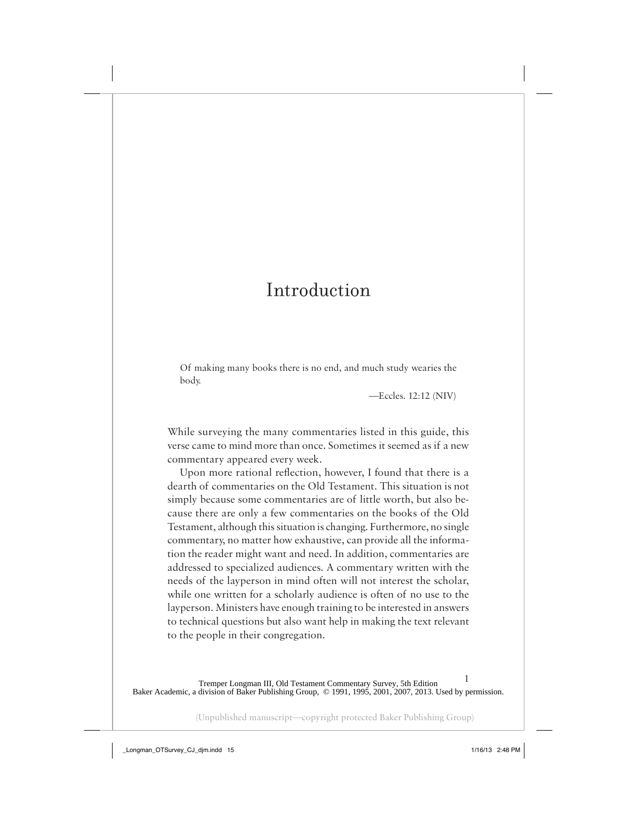# Introduction

Of making many books there is no end, and much study wearies the body.

—Eccles. 12:12 (NIV)

While surveying the many commentaries listed in this guide, this verse came to mind more than once. Sometimes it seemed as if a new commentary appeared every week.

Upon more rational reflection, however, I found that there is a dearth of commentaries on the Old Testament. This situation is not simply because some commentaries are of little worth, but also because there are only a few commentaries on the books of the Old Testament, although this situation is changing. Furthermore, no single commentary, no matter how exhaustive, can provide all the information the reader might want and need. In addition, commentaries are addressed to specialized audiences. A commentary written with the needs of the layperson in mind often will not interest the scholar, while one written for a scholarly audience is often of no use to the layperson. Ministers have enough training to be interested in answers to technical questions but also want help in making the text relevant to the people in their congregation.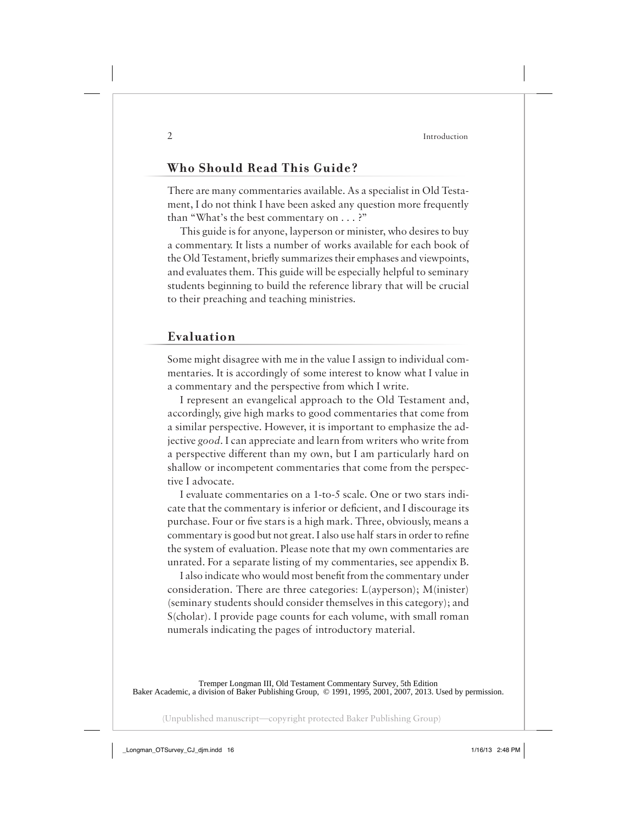# **Who Should Read This Guide?**

There are many commentaries available. As a specialist in Old Testament, I do not think I have been asked any question more frequently than "What's the best commentary on . . . ?"

This guide is for anyone, layperson or minister, who desires to buy a commentary. It lists a number of works available for each book of the Old Testament, briefly summarizes their emphases and viewpoints, and evaluates them. This guide will be especially helpful to seminary students beginning to build the reference library that will be crucial to their preaching and teaching ministries.

# **Evaluation**

Some might disagree with me in the value I assign to individual commentaries. It is accordingly of some interest to know what I value in a commentary and the perspective from which I write.

I represent an evangelical approach to the Old Testament and, accordingly, give high marks to good commentaries that come from a similar perspective. However, it is important to emphasize the adjective *good*. I can appreciate and learn from writers who write from a perspective different than my own, but I am particularly hard on shallow or incompetent commentaries that come from the perspective I advocate.

I evaluate commentaries on a 1-to-5 scale. One or two stars indicate that the commentary is inferior or deficient, and I discourage its purchase. Four or five stars is a high mark. Three, obviously, means a commentary is good but not great. I also use half stars in order to refine the system of evaluation. Please note that my own commentaries are unrated. For a separate listing of my commentaries, see appendix B.

I also indicate who would most benefit from the commentary under consideration. There are three categories: L(ayperson); M(inister) (seminary students should consider themselves in this category); and S(cholar). I provide page counts for each volume, with small roman numerals indicating the pages of introductory material.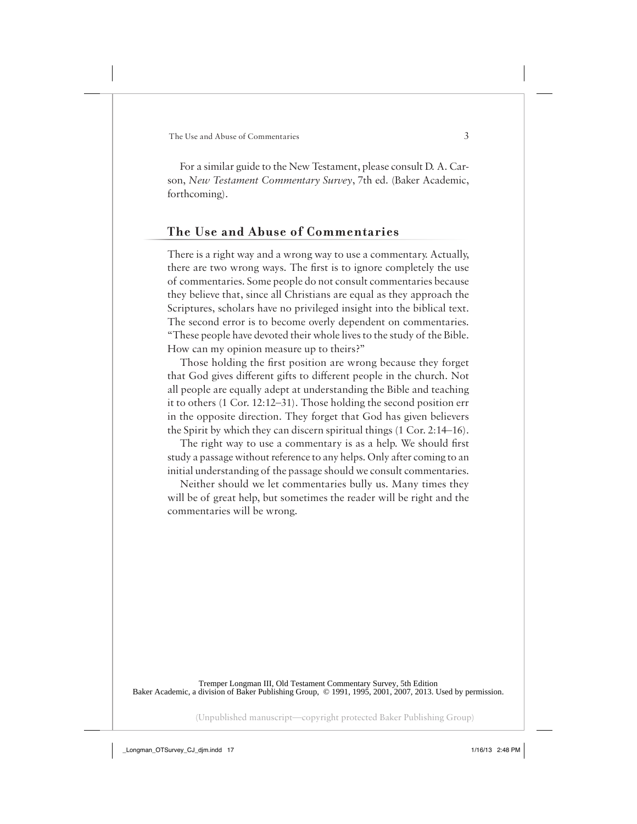For a similar guide to the New Testament, please consult D. A. Carson, *New Testament Commentary Survey*, 7th ed. (Baker Academic, forthcoming).

# **The Use and Abuse of Commentaries**

There is a right way and a wrong way to use a commentary. Actually, there are two wrong ways. The first is to ignore completely the use of commentaries. Some people do not consult commentaries because they believe that, since all Christians are equal as they approach the Scriptures, scholars have no privileged insight into the biblical text. The second error is to become overly dependent on commentaries. "These people have devoted their whole lives to the study of the Bible. How can my opinion measure up to theirs?"

Those holding the first position are wrong because they forget that God gives different gifts to different people in the church. Not all people are equally adept at understanding the Bible and teaching it to others (1 Cor. 12:12–31). Those holding the second position err in the opposite direction. They forget that God has given believers the Spirit by which they can discern spiritual things (1 Cor. 2:14–16).

The right way to use a commentary is as a help. We should first study a passage without reference to any helps. Only after coming to an initial understanding of the passage should we consult commentaries.

Neither should we let commentaries bully us. Many times they will be of great help, but sometimes the reader will be right and the commentaries will be wrong.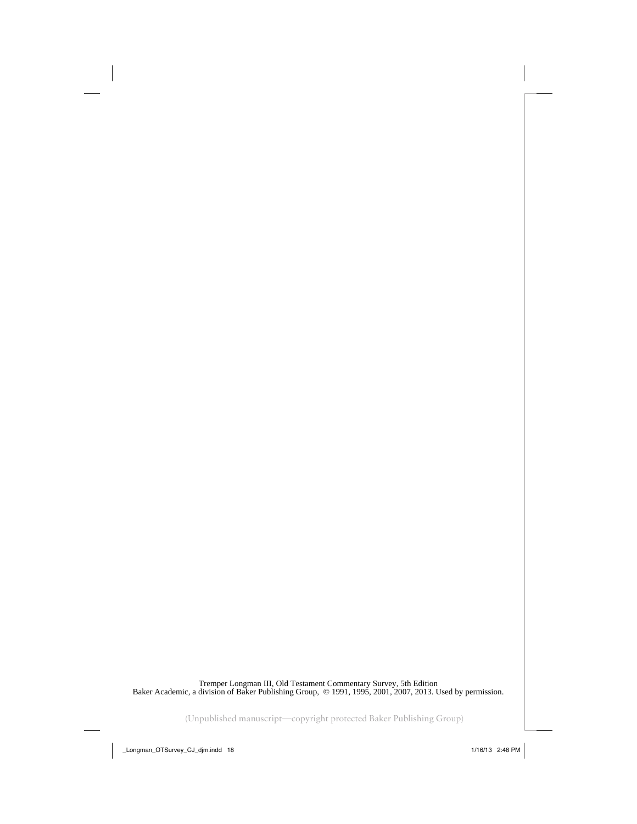Tremper Longman III, Old Testament Commentary Survey, 5th Edition Baker Academic, a division of Baker Publishing Group, © 1991, 1995, 2001, 2007, 2013. Used by permission.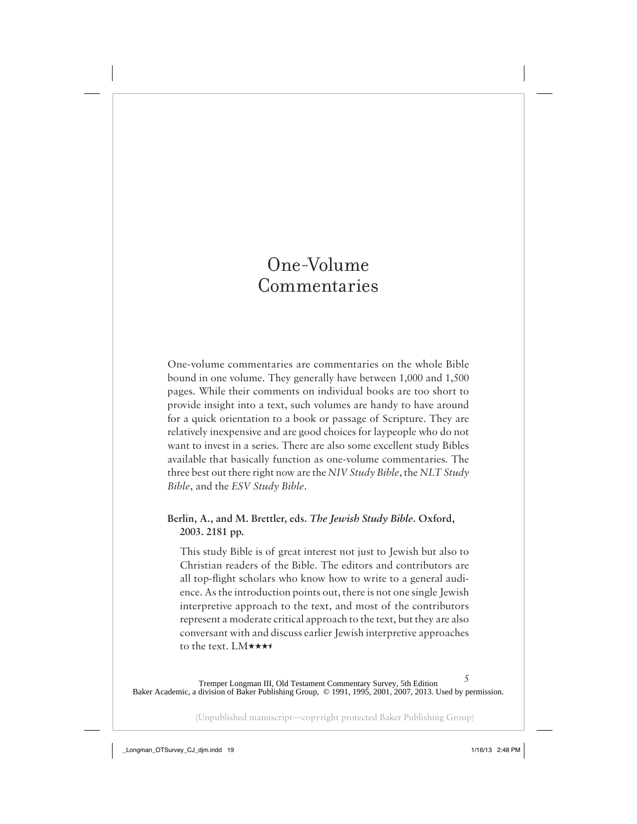# One-Volume Commentaries

One-volume commentaries are commentaries on the whole Bible bound in one volume. They generally have between 1,000 and 1,500 pages. While their comments on individual books are too short to provide insight into a text, such volumes are handy to have around for a quick orientation to a book or passage of Scripture. They are relatively inexpensive and are good choices for laypeople who do not want to invest in a series. There are also some excellent study Bibles available that basically function as one-volume commentaries. The three best out there right now are the *NIV Study Bible*, the *NLT Study Bible*, and the *ESV Study Bible*.

# **Berlin, A., and M. Brettler, eds.** *The Jewish Study Bible***. Oxford, 2003. 2181 pp.**

This study Bible is of great interest not just to Jewish but also to Christian readers of the Bible. The editors and contributors are all top-flight scholars who know how to write to a general audience. As the introduction points out, there is not one single Jewish interpretive approach to the text, and most of the contributors represent a moderate critical approach to the text, but they are also conversant with and discuss earlier Jewish interpretive approaches to the text. LM★★★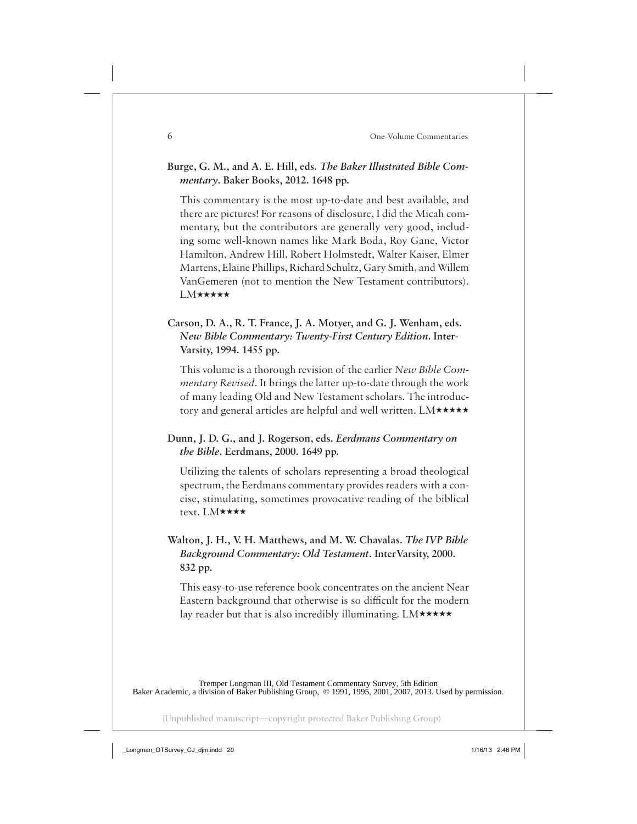#### **Burge, G. M., and A. E. Hill, eds.** *The Baker Illustrated Bible Commentary***. Baker Books, 2012. 1648 pp.**

This commentary is the most up-to-date and best available, and there are pictures! For reasons of disclosure, I did the Micah commentary, but the contributors are generally very good, including some well-known names like Mark Boda, Roy Gane, Victor Hamilton, Andrew Hill, Robert Holmstedt, Walter Kaiser, Elmer Martens, Elaine Phillips, Richard Schultz, Gary Smith, and Willem VanGemeren (not to mention the New Testament contributors). LM★★★★★

**Carson, D. A., R. T. France, J. A. Motyer, and G. J. Wenham, eds.**  *New Bible Commentary: Twenty-First Century Edition***. Inter-Varsity, 1994. 1455 pp.**

This volume is a thorough revision of the earlier *New Bible Commentary Revised*. It brings the latter up-to-date through the work of many leading Old and New Testament scholars. The introductory and general articles are helpful and well written. LM★★★★★

# **Dunn, J. D. G., and J. Rogerson, eds.** *Eerdmans Commentary on the Bible***. Eerdmans, 2000. 1649 pp.**

Utilizing the talents of scholars representing a broad theological spectrum, the Eerdmans commentary provides readers with a concise, stimulating, sometimes provocative reading of the biblical text. LM★★★★

# **Walton, J. H., V. H. Matthews, and M. W. Chavalas.** *The IVP Bible Background Commentary: Old Testament***. InterVarsity, 2000. 832 pp.**

This easy-to-use reference book concentrates on the ancient Near Eastern background that otherwise is so difficult for the modern lay reader but that is also incredibly illuminating. LM★★★★★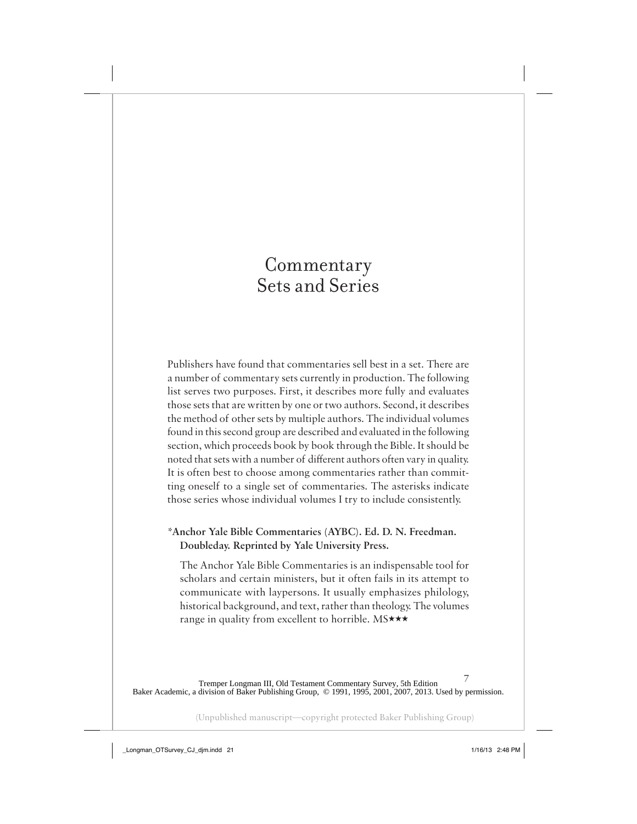# Commentary Sets and Series

Publishers have found that commentaries sell best in a set. There are a number of commentary sets currently in production. The following list serves two purposes. First, it describes more fully and evaluates those sets that are written by one or two authors. Second, it describes the method of other sets by multiple authors. The individual volumes found in this second group are described and evaluated in the following section, which proceeds book by book through the Bible. It should be noted that sets with a number of different authors often vary in quality. It is often best to choose among commentaries rather than committing oneself to a single set of commentaries. The asterisks indicate those series whose individual volumes I try to include consistently.

# *\****Anchor Yale Bible Commentaries (AYBC). Ed. D. N. Freedman. Doubleday. Reprinted by Yale University Press.**

The Anchor Yale Bible Commentaries is an indispensable tool for scholars and certain ministers, but it often fails in its attempt to communicate with laypersons. It usually emphasizes philology, historical background, and text, rather than theology. The volumes range in quality from excellent to horrible. MS★★★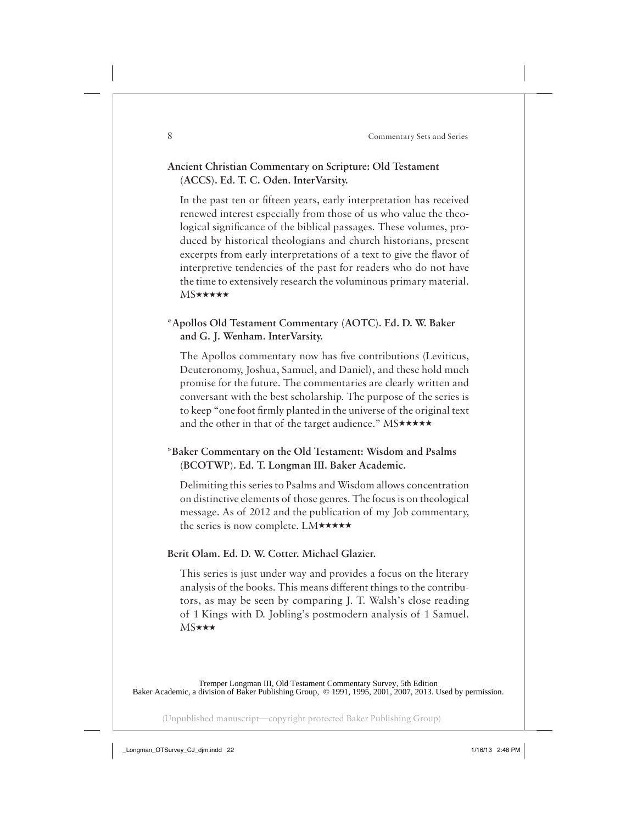# **Ancient Christian Commentary on Scripture: Old Testament (ACCS). Ed. T. C. Oden. InterVarsity.**

In the past ten or fifteen years, early interpretation has received renewed interest especially from those of us who value the theological significance of the biblical passages. These volumes, produced by historical theologians and church historians, present excerpts from early interpretations of a text to give the flavor of interpretive tendencies of the past for readers who do not have the time to extensively research the voluminous primary material. MS★★★★★

# **\*Apollos Old Testament Commentary (AOTC). Ed. D. W. Baker and G. J. Wenham. InterVarsity.**

The Apollos commentary now has five contributions (Leviticus, Deuteronomy, Joshua, Samuel, and Daniel), and these hold much promise for the future. The commentaries are clearly written and conversant with the best scholarship. The purpose of the series is to keep "one foot firmly planted in the universe of the original text and the other in that of the target audience." MS★★★★★

#### **\*Baker Commentary on the Old Testament: Wisdom and Psalms (BCOTWP). Ed. T. Longman III. Baker Academic.**

Delimiting this series to Psalms and Wisdom allows concentration on distinctive elements of those genres. The focus is on theological message. As of 2012 and the publication of my Job commentary, the series is now complete. LM★★★★★

#### **Berit Olam. Ed. D. W. Cotter. Michael Glazier.**

This series is just under way and provides a focus on the literary analysis of the books. This means different things to the contributors, as may be seen by comparing J. T. Walsh's close reading of 1 Kings with D. Jobling's postmodern analysis of 1 Samuel. MS★★★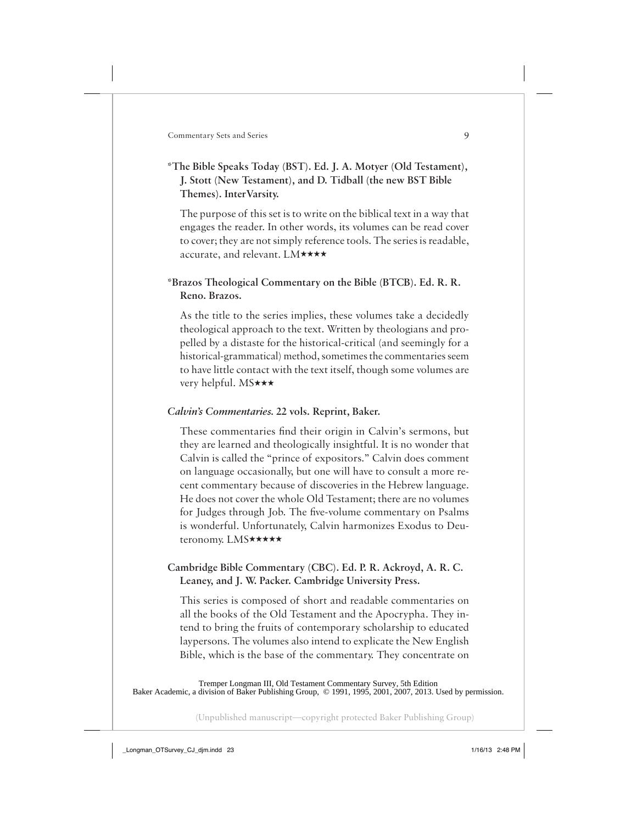# **\*The Bible Speaks Today (BST). Ed. J. A. Motyer (Old Testament), J. Stott (New Testament), and D. Tidball (the new BST Bible Themes). InterVarsity.**

The purpose of this set is to write on the biblical text in a way that engages the reader. In other words, its volumes can be read cover to cover; they are not simply reference tools. The series is readable, accurate, and relevant. LM★★★★

# **\*Brazos Theological Commentary on the Bible (BTCB). Ed. R. R. Reno. Brazos.**

As the title to the series implies, these volumes take a decidedly theological approach to the text. Written by theologians and propelled by a distaste for the historical-critical (and seemingly for a historical-grammatical) method, sometimes the commentaries seem to have little contact with the text itself, though some volumes are very helpful. MS★★★

#### *Calvin's Commentaries.* **22 vols. Reprint, Baker.**

These commentaries find their origin in Calvin's sermons, but they are learned and theologically insightful. It is no wonder that Calvin is called the "prince of expositors." Calvin does comment on language occasionally, but one will have to consult a more recent commentary because of discoveries in the Hebrew language. He does not cover the whole Old Testament; there are no volumes for Judges through Job. The five-volume commentary on Psalms is wonderful. Unfortunately, Calvin harmonizes Exodus to Deuteronomy. LMS★★★★★

# **Cambridge Bible Commentary (CBC). Ed. P. R. Ackroyd, A. R. C. Leaney, and J. W. Packer. Cambridge University Press.**

This series is composed of short and readable commentaries on all the books of the Old Testament and the Apocrypha. They intend to bring the fruits of contemporary scholarship to educated laypersons. The volumes also intend to explicate the New English Bible, which is the base of the commentary. They concentrate on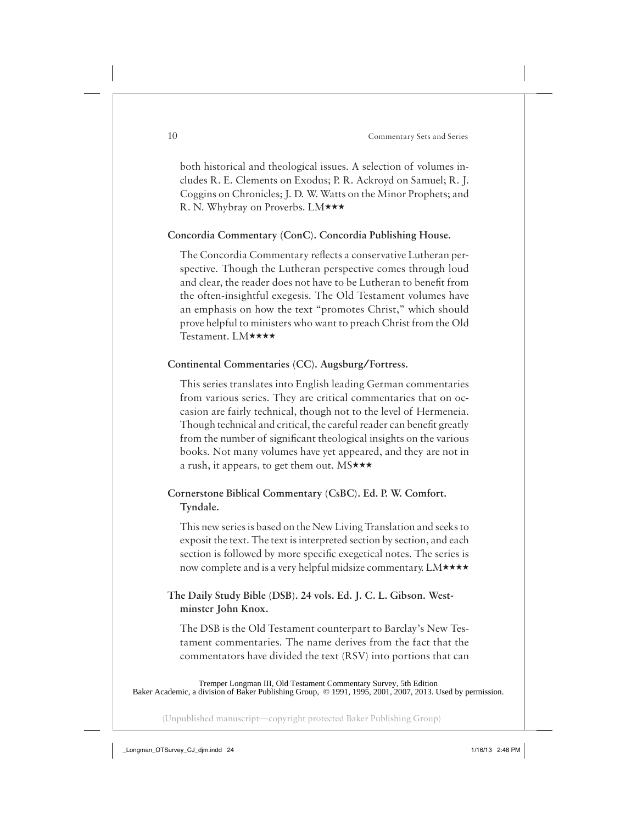both historical and theological issues. A selection of volumes includes R. E. Clements on Exodus; P. R. Ackroyd on Samuel; R. J. Coggins on Chronicles; J. D. W. Watts on the Minor Prophets; and R. N. Whybray on Proverbs. LM★★★

#### **Concordia Commentary (ConC). Concordia Publishing House.**

The Concordia Commentary reflects a conservative Lutheran perspective. Though the Lutheran perspective comes through loud and clear, the reader does not have to be Lutheran to benefit from the often-insightful exegesis. The Old Testament volumes have an emphasis on how the text "promotes Christ," which should prove helpful to ministers who want to preach Christ from the Old Testament. LM★★★★

#### **Continental Commentaries (CC). Augsburg/Fortress.**

This series translates into English leading German commentaries from various series. They are critical commentaries that on occasion are fairly technical, though not to the level of Hermeneia. Though technical and critical, the careful reader can benefit greatly from the number of significant theological insights on the various books. Not many volumes have yet appeared, and they are not in a rush, it appears, to get them out. MS★★★

#### **Cornerstone Biblical Commentary (CsBC). Ed. P. W. Comfort. Tyndale.**

This new series is based on the New Living Translation and seeks to exposit the text. The text is interpreted section by section, and each section is followed by more specific exegetical notes. The series is now complete and is a very helpful midsize commentary. LM★★★★

#### **The Daily Study Bible (DSB). 24 vols. Ed. J. C. L. Gibson. Westminster John Knox.**

The DSB is the Old Testament counterpart to Barclay's New Testament commentaries. The name derives from the fact that the commentators have divided the text (RSV) into portions that can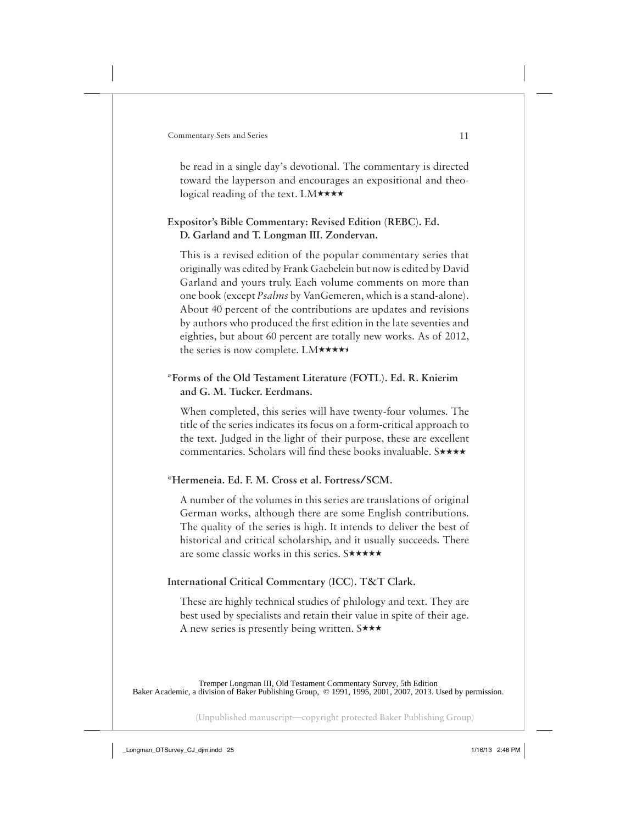be read in a single day's devotional. The commentary is directed toward the layperson and encourages an expositional and theological reading of the text. LM★★★★

# **Expositor's Bible Commentary: Revised Edition (REBC). Ed. D. Garland and T. Longman III. Zondervan.**

This is a revised edition of the popular commentary series that originally was edited by Frank Gaebelein but now is edited by David Garland and yours truly. Each volume comments on more than one book (except *Psalms* by VanGemeren, which is a stand-alone). About 40 percent of the contributions are updates and revisions by authors who produced the first edition in the late seventies and eighties, but about 60 percent are totally new works. As of 2012, the series is now complete. LM★★★★

# **\*Forms of the Old Testament Literature (FOTL). Ed. R. Knierim and G. M. Tucker. Eerdmans.**

When completed, this series will have twenty-four volumes. The title of the series indicates its focus on a form-critical approach to the text. Judged in the light of their purpose, these are excellent commentaries. Scholars will find these books invaluable. S★★★★

#### **\*Hermeneia. Ed. F. M. Cross et al. Fortress/SCM.**

A number of the volumes in this series are translations of original German works, although there are some English contributions. The quality of the series is high. It intends to deliver the best of historical and critical scholarship, and it usually succeeds. There are some classic works in this series. S★★★★★

#### **International Critical Commentary (ICC). T&T Clark.**

These are highly technical studies of philology and text. They are best used by specialists and retain their value in spite of their age. A new series is presently being written. S★★★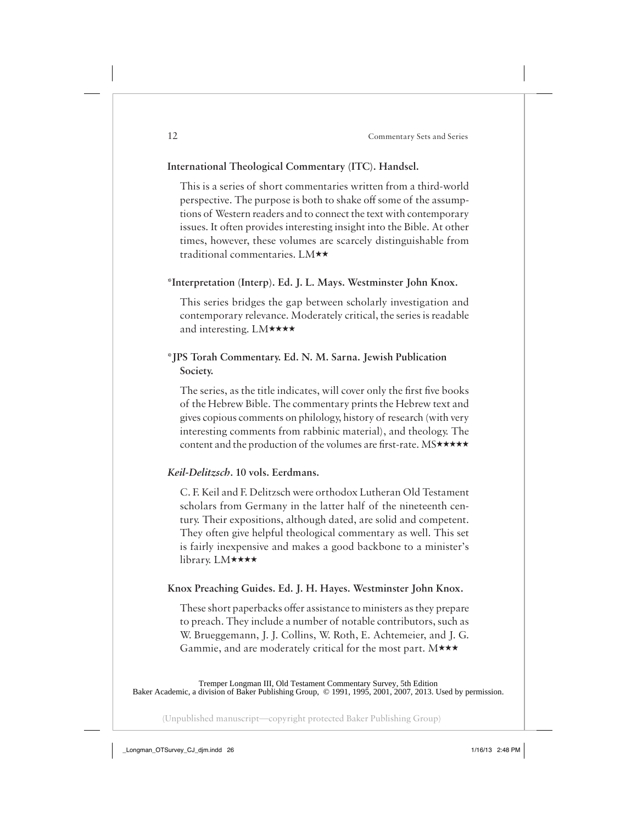# **International Theological Commentary (ITC). Handsel.**

This is a series of short commentaries written from a third-world perspective. The purpose is both to shake off some of the assumptions of Western readers and to connect the text with contemporary issues. It often provides interesting insight into the Bible. At other times, however, these volumes are scarcely distinguishable from traditional commentaries. LM★★

#### **\*Interpretation (Interp). Ed. J. L. Mays. Westminster John Knox.**

This series bridges the gap between scholarly investigation and contemporary relevance. Moderately critical, the series is readable and interesting. LM★★★★

# **\*JPS Torah Commentary. Ed. N. M. Sarna. Jewish Publication Society.**

The series, as the title indicates, will cover only the first five books of the Hebrew Bible. The commentary prints the Hebrew text and gives copious comments on philology, history of research (with very interesting comments from rabbinic material), and theology. The content and the production of the volumes are first-rate. MS★★★★★

#### *Keil-Delitzsch.* **10 vols. Eerdmans.**

C. F. Keil and F. Delitzsch were orthodox Lutheran Old Testament scholars from Germany in the latter half of the nineteenth century. Their expositions, although dated, are solid and competent. They often give helpful theological commentary as well. This set is fairly inexpensive and makes a good backbone to a minister's library. LM★★★★

#### **Knox Preaching Guides. Ed. J. H. Hayes. Westminster John Knox.**

These short paperbacks offer assistance to ministers as they prepare to preach. They include a number of notable contributors, such as W. Brueggemann, J. J. Collins, W. Roth, E. Achtemeier, and J. G. Gammie, and are moderately critical for the most part. M★★★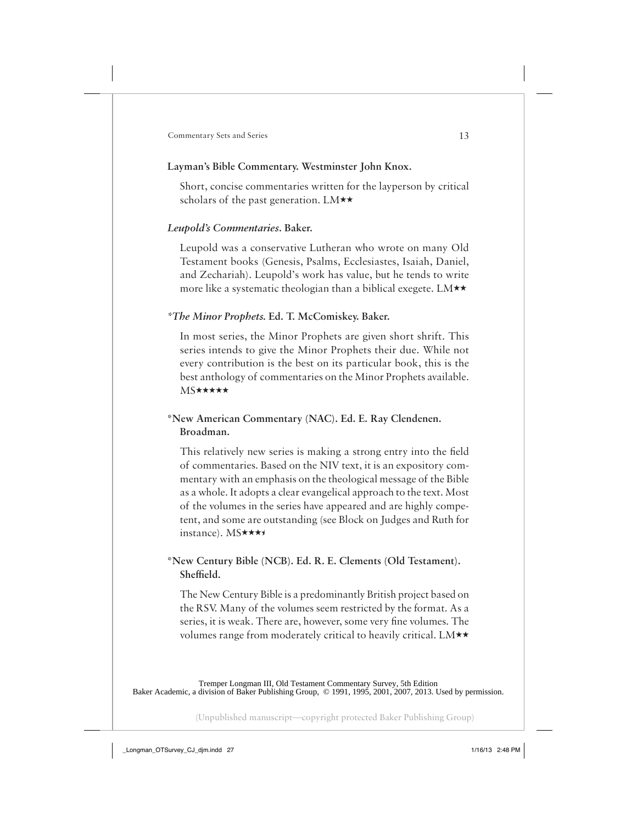#### **Layman's Bible Commentary. Westminster John Knox.**

Short, concise commentaries written for the layperson by critical scholars of the past generation. LM★★

#### *Leupold's Commentaries***. Baker.**

Leupold was a conservative Lutheran who wrote on many Old Testament books (Genesis, Psalms, Ecclesiastes, Isaiah, Daniel, and Zechariah). Leupold's work has value, but he tends to write more like a systematic theologian than a biblical exegete. LM★★

#### *\*The Minor Prophets.* **Ed. T. McComiskey. Baker.**

In most series, the Minor Prophets are given short shrift. This series intends to give the Minor Prophets their due. While not every contribution is the best on its particular book, this is the best anthology of commentaries on the Minor Prophets available. MS★★★★★

#### **\*New American Commentary (NAC). Ed. E. Ray Clendenen. Broadman.**

This relatively new series is making a strong entry into the field of commentaries. Based on the NIV text, it is an expository commentary with an emphasis on the theological message of the Bible as a whole. It adopts a clear evangelical approach to the text. Most of the volumes in the series have appeared and are highly competent, and some are outstanding (see Block on Judges and Ruth for instance). MS★★★

#### **\*New Century Bible (NCB). Ed. R. E. Clements (Old Testament). Sheffield.**

The New Century Bible is a predominantly British project based on the RSV. Many of the volumes seem restricted by the format. As a series, it is weak. There are, however, some very fine volumes. The volumes range from moderately critical to heavily critical. LM★★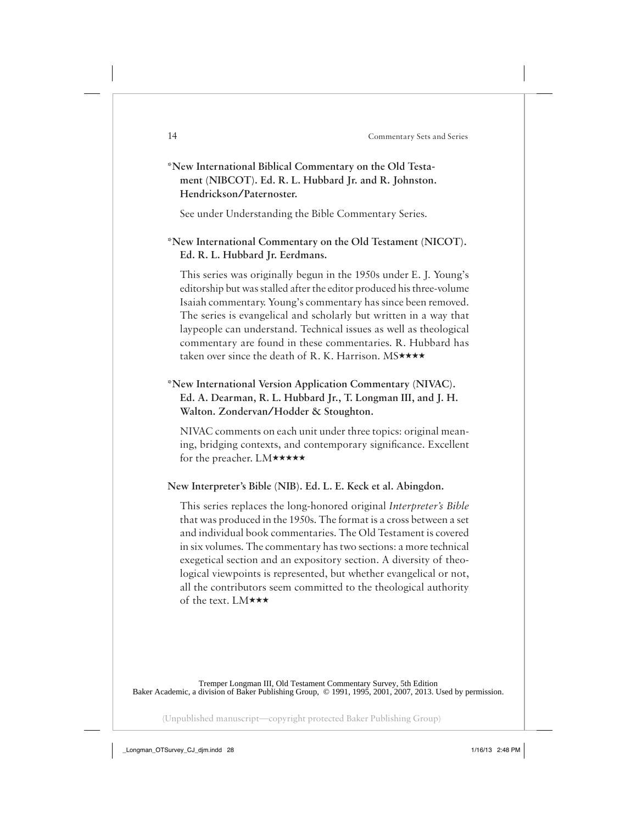**\*New International Biblical Commentary on the Old Testament (NIBCOT). Ed. R. L. Hubbard Jr. and R. Johnston. Hendrickson/Paternoster.**

See under Understanding the Bible Commentary Series.

# **\*New International Commentary on the Old Testament (NICOT). Ed. R. L. Hubbard Jr. Eerdmans.**

This series was originally begun in the 1950s under E. J. Young's editorship but was stalled after the editor produced his three-volume Isaiah commentary. Young's commentary has since been removed. The series is evangelical and scholarly but written in a way that laypeople can understand. Technical issues as well as theological commentary are found in these commentaries. R. Hubbard has taken over since the death of R. K. Harrison. MS★★★★

**\*New International Version Application Commentary (NIVAC). Ed. A. Dearman, R. L. Hubbard Jr., T. Longman III, and J. H. Walton. Zondervan/Hodder & Stoughton.**

NIVAC comments on each unit under three topics: original meaning, bridging contexts, and contemporary significance. Excellent for the preacher. LM★★★★★

#### **New Interpreter's Bible (NIB). Ed. L. E. Keck et al. Abingdon.**

This series replaces the long-honored original *Interpreter's Bible* that was produced in the 1950s. The format is a cross between a set and individual book commentaries. The Old Testament is covered in six volumes. The commentary has two sections: a more technical exegetical section and an expository section. A diversity of theological viewpoints is represented, but whether evangelical or not, all the contributors seem committed to the theological authority of the text. LM★★★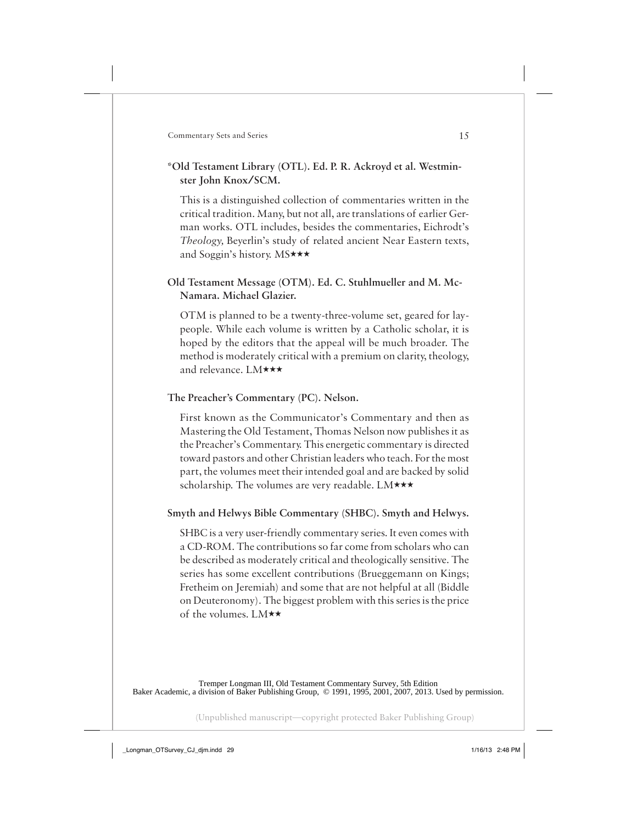# **\*Old Testament Library (OTL). Ed. P. R. Ackroyd et al. Westminster John Knox/SCM.**

This is a distinguished collection of commentaries written in the critical tradition. Many, but not all, are translations of earlier German works. OTL includes, besides the commentaries, Eichrodt's *Theology,* Beyerlin's study of related ancient Near Eastern texts, and Soggin's history. MS★★★

# **Old Testament Message (OTM). Ed. C. Stuhlmueller and M. Mc-Namara. Michael Glazier.**

OTM is planned to be a twenty-three-volume set, geared for laypeople. While each volume is written by a Catholic scholar, it is hoped by the editors that the appeal will be much broader. The method is moderately critical with a premium on clarity, theology, and relevance. LM★★★

#### **The Preacher's Commentary (PC). Nelson.**

First known as the Communicator's Commentary and then as Mastering the Old Testament, Thomas Nelson now publishes it as the Preacher's Commentary. This energetic commentary is directed toward pastors and other Christian leaders who teach. For the most part, the volumes meet their intended goal and are backed by solid scholarship. The volumes are very readable. LM★★★

#### **Smyth and Helwys Bible Commentary (SHBC). Smyth and Helwys.**

SHBC is a very user-friendly commentary series. It even comes with a CD-ROM. The contributions so far come from scholars who can be described as moderately critical and theologically sensitive. The series has some excellent contributions (Brueggemann on Kings; Fretheim on Jeremiah) and some that are not helpful at all (Biddle on Deuteronomy). The biggest problem with this series is the price of the volumes. LM★★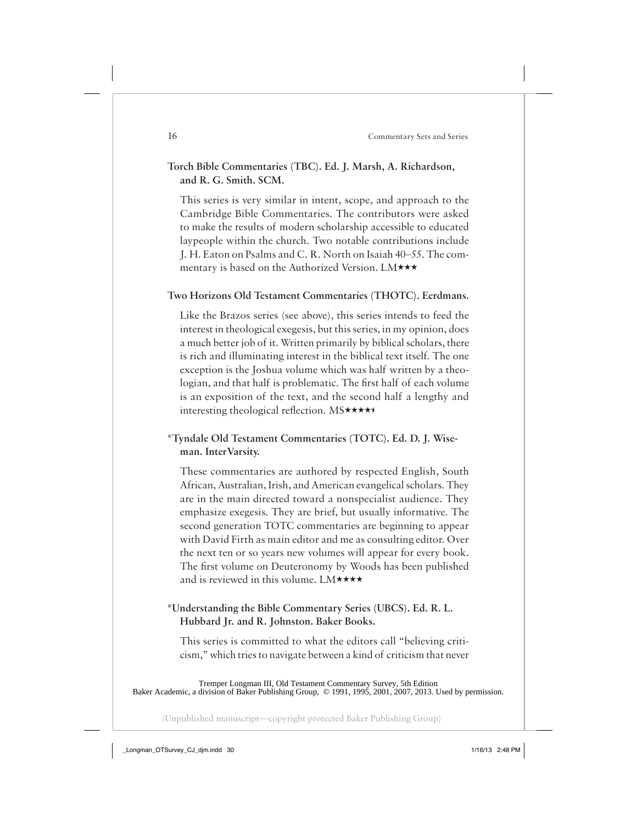# **Torch Bible Commentaries (TBC). Ed. J. Marsh, A. Richardson, and R. G. Smith. SCM.**

This series is very similar in intent, scope, and approach to the Cambridge Bible Commentaries. The contributors were asked to make the results of modern scholarship accessible to educated laypeople within the church. Two notable contributions include J. H. Eaton on Psalms and C. R. North on Isaiah 40–55. The commentary is based on the Authorized Version. LM★★★

#### **Two Horizons Old Testament Commentaries (THOTC). Eerdmans.**

Like the Brazos series (see above), this series intends to feed the interest in theological exegesis, but this series, in my opinion, does a much better job of it. Written primarily by biblical scholars, there is rich and illuminating interest in the biblical text itself. The one exception is the Joshua volume which was half written by a theologian, and that half is problematic. The first half of each volume is an exposition of the text, and the second half a lengthy and interesting theological reflection. MS★★★★

# **\*Tyndale Old Testament Commentaries (TOTC). Ed. D. J. Wiseman. InterVarsity.**

These commentaries are authored by respected English, South African, Australian, Irish, and American evangelical scholars. They are in the main directed toward a nonspecialist audience. They emphasize exegesis. They are brief, but usually informative. The second generation TOTC commentaries are beginning to appear with David Firth as main editor and me as consulting editor. Over the next ten or so years new volumes will appear for every book. The first volume on Deuteronomy by Woods has been published and is reviewed in this volume. LM★★★★

# **\*Understanding the Bible Commentary Series (UBCS). Ed. R. L. Hubbard Jr. and R. Johnston. Baker Books.**

This series is committed to what the editors call "believing criticism," which tries to navigate between a kind of criticism that never